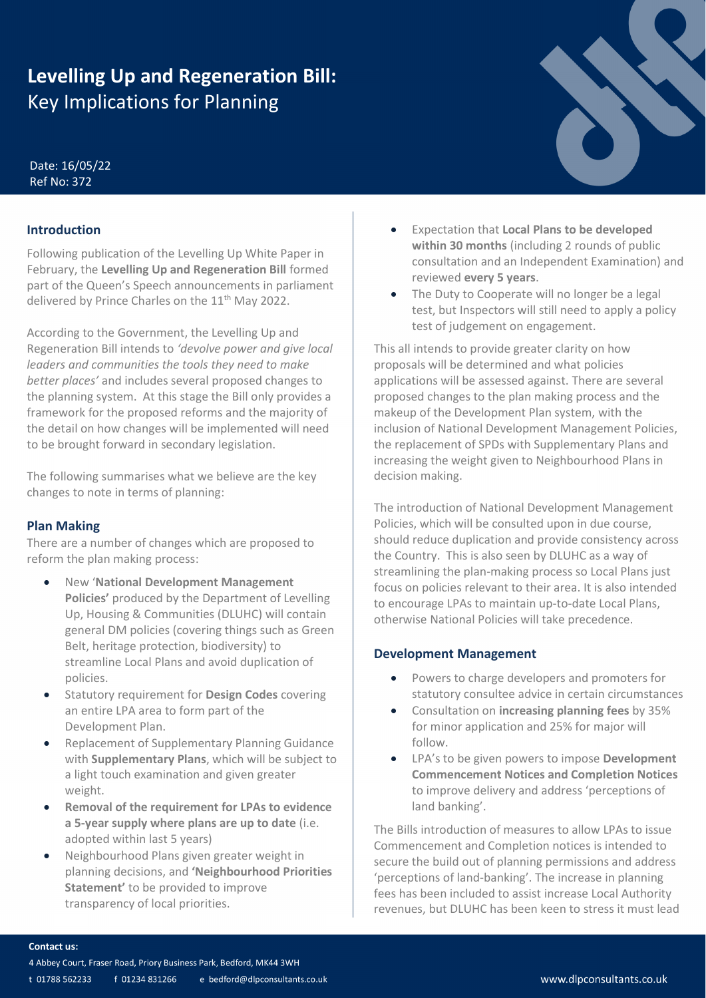# **Levelling Up and Regeneration Bill:** Key Implications for Planning

### Date: 16/05/22 Ref No: 372

# **Introduction**

Following publication of the Levelling Up White Paper in February, the **Levelling Up and Regeneration Bill** formed part of the Queen's Speech announcements in parliament delivered by Prince Charles on the 11<sup>th</sup> May 2022.

According to the Government, the Levelling Up and Regeneration Bill intends to *'devolve power and give local leaders and communities the tools they need to make better places'* and includes several proposed changes to the planning system. At this stage the Bill only provides a framework for the proposed reforms and the majority of the detail on how changes will be implemented will need to be brought forward in secondary legislation.

The following summarises what we believe are the key changes to note in terms of planning:

# **Plan Making**

There are a number of changes which are proposed to reform the plan making process:

- New '**National Development Management Policies'** produced by the Department of Levelling Up, Housing & Communities (DLUHC) will contain general DM policies (covering things such as Green Belt, heritage protection, biodiversity) to streamline Local Plans and avoid duplication of policies.
- Statutory requirement for **Design Codes** covering an entire LPA area to form part of the Development Plan.
- Replacement of Supplementary Planning Guidance with **Supplementary Plans**, which will be subject to a light touch examination and given greater weight.
- **Removal of the requirement for LPAs to evidence a 5-year supply where plans are up to date** (i.e. adopted within last 5 years)
- Neighbourhood Plans given greater weight in planning decisions, and **'Neighbourhood Priorities Statement'** to be provided to improve transparency of local priorities.
- Expectation that **Local Plans to be developed within 30 months** (including 2 rounds of public consultation and an Independent Examination) and reviewed **every 5 years**.
- The Duty to Cooperate will no longer be a legal test, but Inspectors will still need to apply a policy test of judgement on engagement.

This all intends to provide greater clarity on how proposals will be determined and what policies applications will be assessed against. There are several proposed changes to the plan making process and the makeup of the Development Plan system, with the inclusion of National Development Management Policies, the replacement of SPDs with Supplementary Plans and increasing the weight given to Neighbourhood Plans in decision making.

The introduction of National Development Management Policies, which will be consulted upon in due course, should reduce duplication and provide consistency across the Country. This is also seen by DLUHC as a way of streamlining the plan-making process so Local Plans just focus on policies relevant to their area. It is also intended to encourage LPAs to maintain up-to-date Local Plans, otherwise National Policies will take precedence.

# **Development Management**

- Powers to charge developers and promoters for statutory consultee advice in certain circumstances
- Consultation on **increasing planning fees** by 35% for minor application and 25% for major will follow.
- LPA's to be given powers to impose **Development Commencement Notices and Completion Notices** to improve delivery and address 'perceptions of land banking'.

The Bills introduction of measures to allow LPAs to issue Commencement and Completion notices is intended to secure the build out of planning permissions and address 'perceptions of land-banking'. The increase in planning fees has been included to assist increase Local Authority revenues, but DLUHC has been keen to stress it must lead

#### **Contact us:**

- 4 Abbey Court, Fraser Road, Priory Business Park, Bedford, MK44 3WH
- t 01788 562233 f 01234 831266 e bedford@dlpconsultants.co.uk